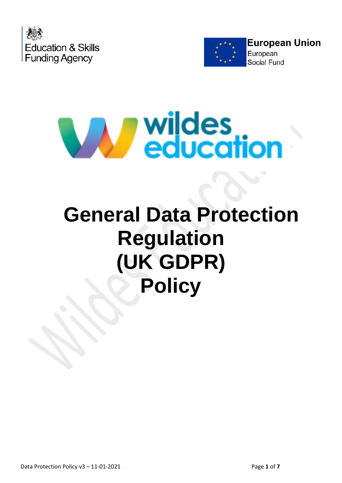





# **General Data Protection Regulation (UK GDPR) Policy**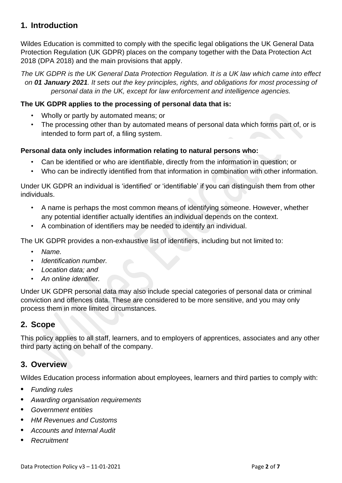# **1. Introduction**

Wildes Education is committed to comply with the specific legal obligations the UK General Data Protection Regulation (UK GDPR) places on the company together with the Data Protection Act 2018 (DPA 2018) and the main provisions that apply.

*The UK GDPR is the UK General Data Protection Regulation. It is a UK law which came into effect on 01 January 2021. It sets out the key principles, rights, and obligations for most processing of personal data in the UK, except for law enforcement and intelligence agencies.*

## **The UK GDPR applies to the processing of personal data that is:**

- Wholly or partly by automated means; or
- The processing other than by automated means of personal data which forms part of, or is intended to form part of, a filing system.

### **Personal data only includes information relating to natural persons who:**

- Can be identified or who are identifiable, directly from the information in question; or
- Who can be indirectly identified from that information in combination with other information.

Under UK GDPR an individual is 'identified' or 'identifiable' if you can distinguish them from other individuals.

- A name is perhaps the most common means of identifying someone. However, whether any potential identifier actually identifies an individual depends on the context.
- A combination of identifiers may be needed to identify an individual.

The UK GDPR provides a non-exhaustive list of identifiers, including but not limited to:

- *Name.*
- *Identification number.*
- *Location data; and*
- *An online identifier.*

Under UK GDPR personal data may also include special categories of personal data or criminal conviction and offences data. These are considered to be more sensitive, and you may only process them in more limited circumstances.

## **2. Scope**

This policy applies to all staff, learners, and to employers of apprentices, associates and any other third party acting on behalf of the company.

## **3. Overview**

Wildes Education process information about employees, learners and third parties to comply with:

- **•** *Funding rules*
- **•** *Awarding organisation requirements*
- **•** *Government entities*
- **•** *HM Revenues and Customs*
- **•** *Accounts and Internal Audit*
- **•** *Recruitment*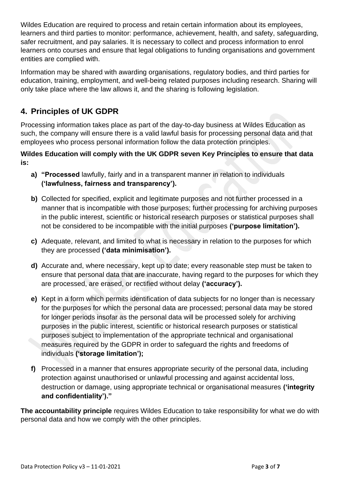Wildes Education are required to process and retain certain information about its employees, learners and third parties to monitor: performance, achievement, health, and safety, safeguarding, safer recruitment, and pay salaries. It is necessary to collect and process information to enrol learners onto courses and ensure that legal obligations to funding organisations and government entities are complied with.

Information may be shared with awarding organisations, regulatory bodies, and third parties for education, training, employment, and well-being related purposes including research. Sharing will only take place where the law allows it, and the sharing is following legislation.

# **4. Principles of UK GDPR**

Processing information takes place as part of the day-to-day business at Wildes Education as such, the company will ensure there is a valid lawful basis for processing personal data and that employees who process personal information follow the data protection principles.

## **Wildes Education will comply with the UK GDPR seven Key Principles to ensure that data is:**

- **a) "Processed** lawfully, fairly and in a transparent manner in relation to individuals **('lawfulness, fairness and transparency').**
- **b)** Collected for specified, explicit and legitimate purposes and not further processed in a manner that is incompatible with those purposes; further processing for archiving purposes in the public interest, scientific or historical research purposes or statistical purposes shall not be considered to be incompatible with the initial purposes **('purpose limitation').**
- **c)** Adequate, relevant, and limited to what is necessary in relation to the purposes for which they are processed **('data minimisation').**
- **d)** Accurate and, where necessary, kept up to date; every reasonable step must be taken to ensure that personal data that are inaccurate, having regard to the purposes for which they are processed, are erased, or rectified without delay **('accuracy').**
- **e)** Kept in a form which permits identification of data subjects for no longer than is necessary for the purposes for which the personal data are processed; personal data may be stored for longer periods insofar as the personal data will be processed solely for archiving purposes in the public interest, scientific or historical research purposes or statistical purposes subject to implementation of the appropriate technical and organisational measures required by the GDPR in order to safeguard the rights and freedoms of individuals **('storage limitation');**
- **f)** Processed in a manner that ensures appropriate security of the personal data, including protection against unauthorised or unlawful processing and against accidental loss, destruction or damage, using appropriate technical or organisational measures **('integrity and confidentiality')."**

**The accountability principle** requires Wildes Education to take responsibility for what we do with personal data and how we comply with the other principles.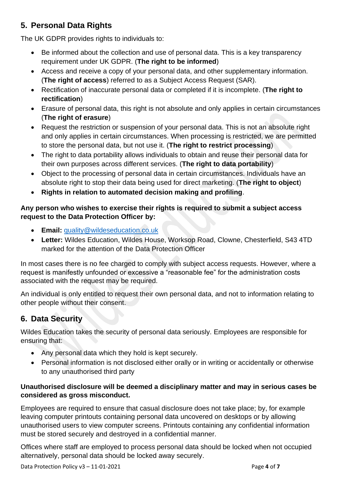# **5. Personal Data Rights**

The UK GDPR provides rights to individuals to:

- Be informed about the collection and use of personal data. This is a key transparency requirement under UK GDPR. (**The right to be informed**)
- Access and receive a copy of your personal data, and other supplementary information. (**The right of access**) referred to as a Subject Access Request (SAR).
- Rectification of inaccurate personal data or completed if it is incomplete. (**The right to rectification**)
- Erasure of personal data, this right is not absolute and only applies in certain circumstances (**The right of erasure**)
- Request the restriction or suspension of your personal data. This is not an absolute right and only applies in certain circumstances. When processing is restricted, we are permitted to store the personal data, but not use it. (**The right to restrict processing**)
- The right to data portability allows individuals to obtain and reuse their personal data for their own purposes across different services. (**The right to data portability**)
- Object to the processing of personal data in certain circumstances. Individuals have an absolute right to stop their data being used for direct marketing. (**The right to object**)
- **Rights in relation to automated decision making and profiling**.

## **Any person who wishes to exercise their rights is required to submit a subject access request to the Data Protection Officer by:**

- **Email:** [quality@wildeseducation.co.uk](mailto:quality@wildeseducation.co.uk)
- **Letter:** Wildes Education, Wildes House, Worksop Road, Clowne, Chesterfield, S43 4TD marked for the attention of the Data Protection Officer

In most cases there is no fee charged to comply with subject access requests. However, where a request is manifestly unfounded or excessive a "reasonable fee" for the administration costs associated with the request may be required.

An individual is only entitled to request their own personal data, and not to information relating to other people without their consent.

# **6. Data Security**

Wildes Education takes the security of personal data seriously. Employees are responsible for ensuring that:

- Any personal data which they hold is kept securely.
- Personal information is not disclosed either orally or in writing or accidentally or otherwise to any unauthorised third party

## **Unauthorised disclosure will be deemed a disciplinary matter and may in serious cases be considered as gross misconduct.**

Employees are required to ensure that casual disclosure does not take place; by, for example leaving computer printouts containing personal data uncovered on desktops or by allowing unauthorised users to view computer screens. Printouts containing any confidential information must be stored securely and destroyed in a confidential manner.

Offices where staff are employed to process personal data should be locked when not occupied alternatively, personal data should be locked away securely.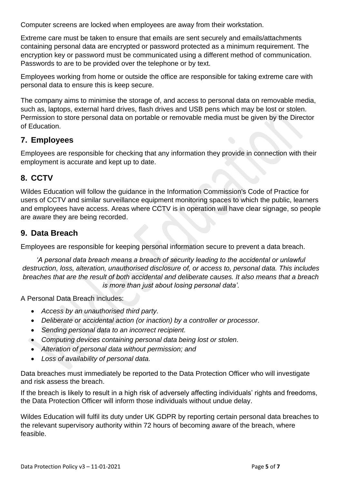Computer screens are locked when employees are away from their workstation.

Extreme care must be taken to ensure that emails are sent securely and emails/attachments containing personal data are encrypted or password protected as a minimum requirement. The encryption key or password must be communicated using a different method of communication. Passwords to are to be provided over the telephone or by text.

Employees working from home or outside the office are responsible for taking extreme care with personal data to ensure this is keep secure.

The company aims to minimise the storage of, and access to personal data on removable media, such as, laptops, external hard drives, flash drives and USB pens which may be lost or stolen. Permission to store personal data on portable or removable media must be given by the Director of Education.

## **7. Employees**

Employees are responsible for checking that any information they provide in connection with their employment is accurate and kept up to date.

# **8. CCTV**

Wildes Education will follow the guidance in the Information Commission's Code of Practice for users of CCTV and similar surveillance equipment monitoring spaces to which the public, learners and employees have access. Areas where CCTV is in operation will have clear signage, so people are aware they are being recorded.

## **9. Data Breach**

Employees are responsible for keeping personal information secure to prevent a data breach.

*'A personal data breach means a breach of security leading to the accidental or unlawful destruction, loss, alteration, unauthorised disclosure of, or access to, personal data. This includes breaches that are the result of both accidental and deliberate causes. It also means that a breach is more than just about losing personal data'.*

A Personal Data Breach includes:

- *Access by an unauthorised third party.*
- *Deliberate or accidental action (or inaction) by a controller or processor.*
- *Sending personal data to an incorrect recipient.*
- *Computing devices containing personal data being lost or stolen.*
- *Alteration of personal data without permission; and*
- *Loss of availability of personal data.*

Data breaches must immediately be reported to the Data Protection Officer who will investigate and risk assess the breach.

If the breach is likely to result in a high risk of adversely affecting individuals' rights and freedoms, the Data Protection Officer will inform those individuals without undue delay.

Wildes Education will fulfil its duty under UK GDPR by reporting certain personal data breaches to the relevant supervisory authority within 72 hours of becoming aware of the breach, where feasible.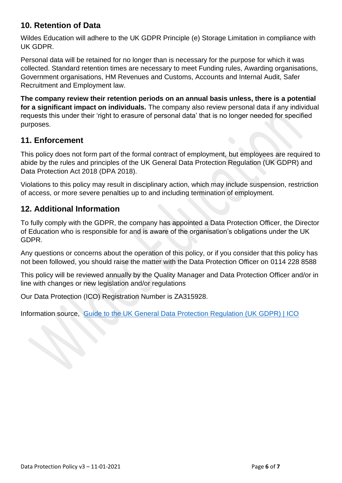## **10. Retention of Data**

Wildes Education will adhere to the UK GDPR Principle (e) Storage Limitation in compliance with UK GDPR.

Personal data will be retained for no longer than is necessary for the purpose for which it was collected. Standard retention times are necessary to meet Funding rules, Awarding organisations, Government organisations, HM Revenues and Customs, Accounts and Internal Audit, Safer Recruitment and Employment law.

**The company review their retention periods on an annual basis unless, there is a potential for a significant impact on individuals.** The company also review personal data if any individual requests this under their 'right to erasure of personal data' that is no longer needed for specified purposes.

## **11. Enforcement**

This policy does not form part of the formal contract of employment, but employees are required to abide by the rules and principles of the UK General Data Protection Regulation (UK GDPR) and Data Protection Act 2018 (DPA 2018).

Violations to this policy may result in disciplinary action, which may include suspension, restriction of access, or more severe penalties up to and including termination of employment.

# **12. Additional Information**

To fully comply with the GDPR, the company has appointed a Data Protection Officer, the Director of Education who is responsible for and is aware of the organisation's obligations under the UK GDPR.

Any questions or concerns about the operation of this policy, or if you consider that this policy has not been followed, you should raise the matter with the Data Protection Officer on 0114 228 8588

This policy will be reviewed annually by the Quality Manager and Data Protection Officer and/or in line with changes or new legislation and/or regulations

Our Data Protection (ICO) Registration Number is ZA315928.

Information source, [Guide to the UK General Data Protection Regulation \(UK GDPR\) | ICO](https://ico.org.uk/for-organisations/guide-to-data-protection/guide-to-the-general-data-protection-regulation-gdpr/)